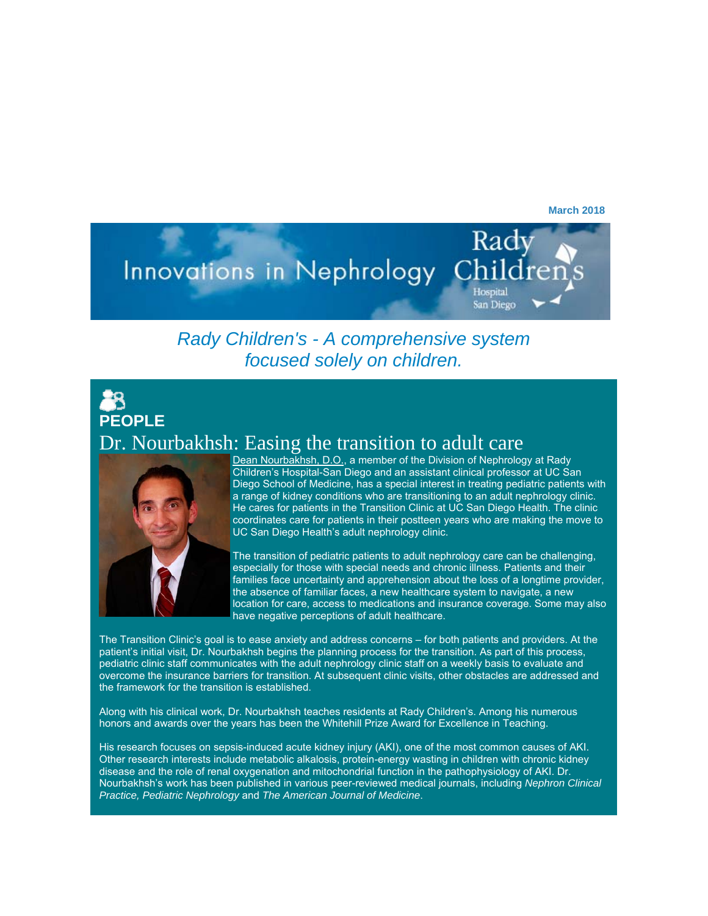**March 2018** 

## Rady Innovations in Nephrology Hospital San Diego

#### *Rady Children's - A comprehensive system focused solely on children.*

### 28 **PEOPLE** Dr. Nourbakhsh: Easing the transition to adult care



Dean Nourbakhsh, D.O., a member of the Division of Nephrology at Rady Children's Hospital-San Diego and an assistant clinical professor at UC San Diego School of Medicine, has a special interest in treating pediatric patients with a range of kidney conditions who are transitioning to an adult nephrology clinic. He cares for patients in the Transition Clinic at UC San Diego Health. The clinic coordinates care for patients in their postteen years who are making the move to UC San Diego Health's adult nephrology clinic.

The transition of pediatric patients to adult nephrology care can be challenging, especially for those with special needs and chronic illness. Patients and their families face uncertainty and apprehension about the loss of a longtime provider, the absence of familiar faces, a new healthcare system to navigate, a new location for care, access to medications and insurance coverage. Some may also have negative perceptions of adult healthcare.

The Transition Clinic's goal is to ease anxiety and address concerns – for both patients and providers. At the patient's initial visit, Dr. Nourbakhsh begins the planning process for the transition. As part of this process, pediatric clinic staff communicates with the adult nephrology clinic staff on a weekly basis to evaluate and overcome the insurance barriers for transition. At subsequent clinic visits, other obstacles are addressed and the framework for the transition is established.

Along with his clinical work, Dr. Nourbakhsh teaches residents at Rady Children's. Among his numerous honors and awards over the years has been the Whitehill Prize Award for Excellence in Teaching.

His research focuses on sepsis-induced acute kidney injury (AKI), one of the most common causes of AKI. Other research interests include metabolic alkalosis, protein-energy wasting in children with chronic kidney disease and the role of renal oxygenation and mitochondrial function in the pathophysiology of AKI. Dr. Nourbakhsh's work has been published in various peer-reviewed medical journals, including *Nephron Clinical Practice, Pediatric Nephrology* and *The American Journal of Medicine*.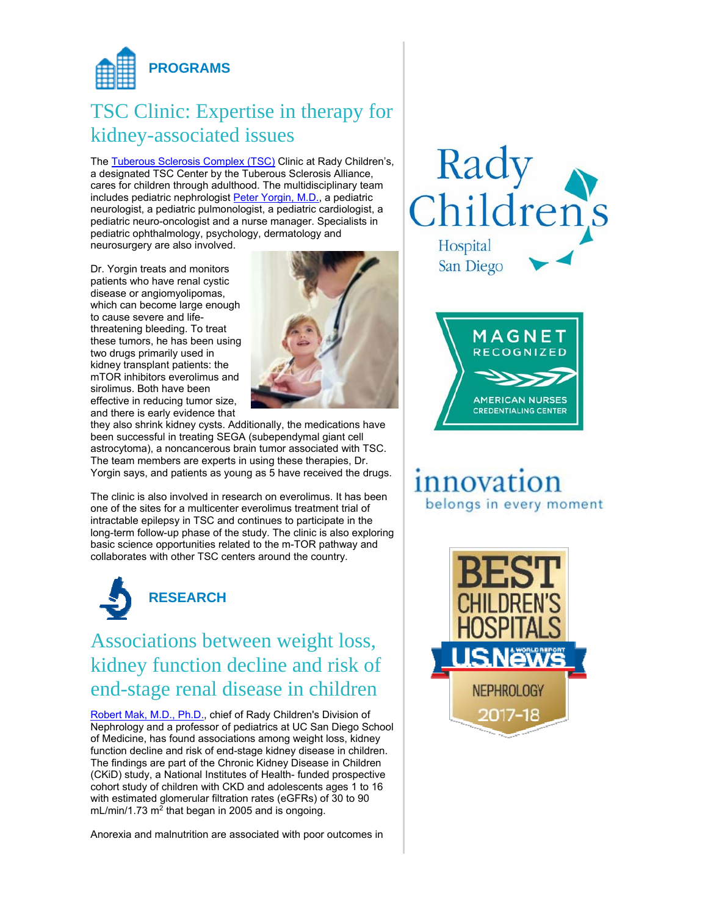

# TSC Clinic: Expertise in therapy for kidney-associated issues

The Tuberous Sclerosis Complex (TSC) Clinic at Rady Children's, a designated TSC Center by the Tuberous Sclerosis Alliance, cares for children through adulthood. The multidisciplinary team includes pediatric nephrologist Peter Yorgin, M.D., a pediatric neurologist, a pediatric pulmonologist, a pediatric cardiologist, a pediatric neuro-oncologist and a nurse manager. Specialists in pediatric ophthalmology, psychology, dermatology and neurosurgery are also involved.

Dr. Yorgin treats and monitors patients who have renal cystic disease or angiomyolipomas, which can become large enough to cause severe and lifethreatening bleeding. To treat these tumors, he has been using two drugs primarily used in kidney transplant patients: the mTOR inhibitors everolimus and sirolimus. Both have been effective in reducing tumor size, and there is early evidence that



they also shrink kidney cysts. Additionally, the medications have been successful in treating SEGA (subependymal giant cell astrocytoma), a noncancerous brain tumor associated with TSC. The team members are experts in using these therapies, Dr. Yorgin says, and patients as young as 5 have received the drugs.

The clinic is also involved in research on everolimus. It has been one of the sites for a multicenter everolimus treatment trial of intractable epilepsy in TSC and continues to participate in the long-term follow-up phase of the study. The clinic is also exploring basic science opportunities related to the m-TOR pathway and collaborates with other TSC centers around the country.



Associations between weight loss, kidney function decline and risk of end-stage renal disease in children

Robert Mak, M.D., Ph.D., chief of Rady Children's Division of Nephrology and a professor of pediatrics at UC San Diego School of Medicine, has found associations among weight loss, kidney function decline and risk of end-stage kidney disease in children. The findings are part of the Chronic Kidney Disease in Children (CKiD) study, a National Institutes of Health- funded prospective cohort study of children with CKD and adolescents ages 1 to 16 with estimated glomerular filtration rates (eGFRs) of 30 to 90 mL/min/1.73 m<sup>2</sup> that began in 2005 and is ongoing.

Anorexia and malnutrition are associated with poor outcomes in





## innovation belongs in every moment